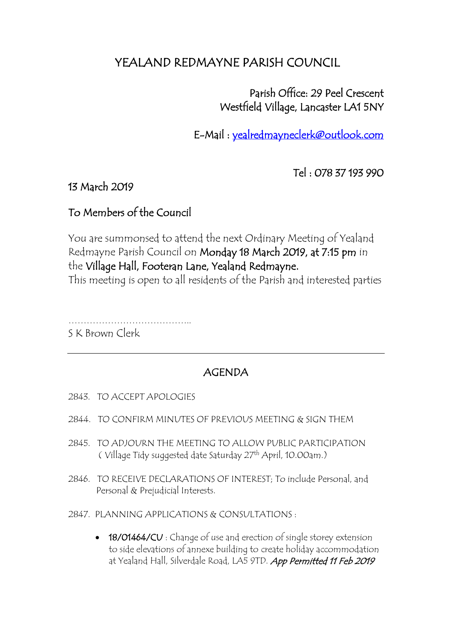# YEALAND REDMAYNE PARISH COUNCIL

 Parish Office: 29 Peel Crescent Westfield Village, Lancaster LA1 5NY

E-Mail : [yealredmayneclerk@outlook.com](mailto:yealredmayneclerk@outlook.com) 

Tel : 078 37 193 990

### 13 March 2019

### To Members of the Council

You are summonsed to attend the next Ordinary Meeting of Yealand Redmayne Parish Council on Monday 18 March 2019, at 7:15 pm in the Village Hall, Footeran Lane, Yealand Redmayne. This meeting is open to all residents of the Parish and interested parties

………………………………….. S K Brown Clerk

## AGENDA

- 2843. TO ACCEPT APOLOGIES
- 2844. TO CONFIRM MINUTES OF PREVIOUS MEETING & SIGN THEM
- 2845. TO ADJOURN THE MEETING TO ALLOW PUBLIC PARTICIPATION ( Village Tidy suggested date Saturday 27th April, 10.00am.)
- 2846. TO RECEIVE DECLARATIONS OF INTEREST; To include Personal, and Personal & Prejudicial Interests.
- 2847. PLANNING APPLICATIONS & CONSULTATIONS :
	- 18/01464/CU : Change of use and erection of single storey extension to side elevations of annexe building to create holiday accommodation at Yealand Hall, Silverdale Road, LA5 9TD. App Permitted 11 Feb 2019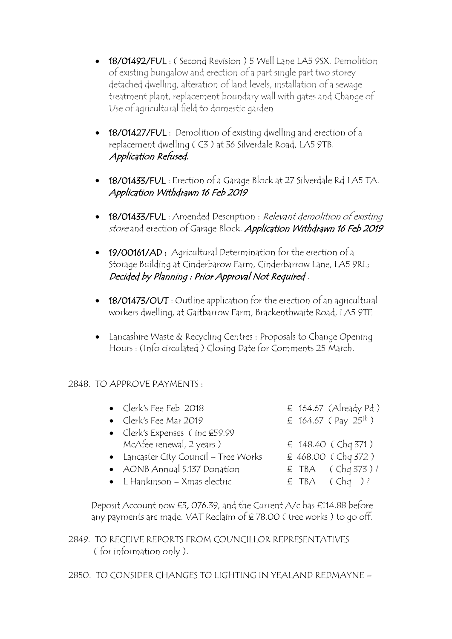- **18/01492/FUL**: (Second Revision ) 5 Well Lane LA5 9SX. Demolition of existing bungalow and erection of a part single part two storey detached dwelling, alteration of land levels, installation of a sewage treatment plant, replacement boundary wall with gates and Change of Use of agricultural field to domestic garden
- 18/01427/FUL : Demolition of existing dwelling and erection of a replacement dwelling ( C3 ) at 36 Silverdale Road, LA5 9TB. Application Refused.
- 18/01433/FUL : Erection of a Garage Block at 27 Silverdale Rd LA5 TA. Application Withdrawn 16 Feb 2019
- 18/01433/FUL : Amended Description : Relevant demolition of existing store and erection of Garage Block. Application Withdrawn 16 Feb 2019
- 19/00161/AD: Agricultural Determination for the erection of a Storage Building at Cinderbarow Farm, Cinderbarrow Lane, LA5 9RL; Decided by Planning : Prior Approval Not Required .
- 18/01473/OUT : Outline application for the erection of an agricultural workers dwelling, at Gaitbarrow Farm, Brackenthwaite Road, LA5 9TE
- Lancashire Waste & Recycling Centres : Proposals to Change Opening Hours : (Info circulated ) Closing Date for Comments 25 March.

### 2848. TO APPROVE PAYMENTS :

| • Clerk's Fee Feb 2018                |  | $\epsilon$ 164.67 (Already Pd)   |
|---------------------------------------|--|----------------------------------|
| • Clerk's Fee Mar 2019                |  | £ 164.67 (Pay 25 <sup>th</sup> ) |
| • Clerk's Expenses (inc £59.99        |  |                                  |
| McAfee renewal, 2 years)              |  | £ 148.40 (Chq 371)               |
| • Lancaster City Council – Tree Works |  | £ 468.00 (Chq 372)               |
| • AONB Annual S.137 Donation          |  | $E$ TBA (Chq 373)?               |
| $\bullet$ L Hankinson – Xmas electric |  | $\epsilon$ TBA (Chq)?            |

 Deposit Account now £3, 076.39, and the Current A/c has £114.88 before any payments are made. VAT Reclaim of £78.00 (tree works) to go off.

2849. TO RECEIVE REPORTS FROM COUNCILLOR REPRESENTATIVES ( for information only ).

2850. TO CONSIDER CHANGES TO LIGHTING IN YEALAND REDMAYNE –